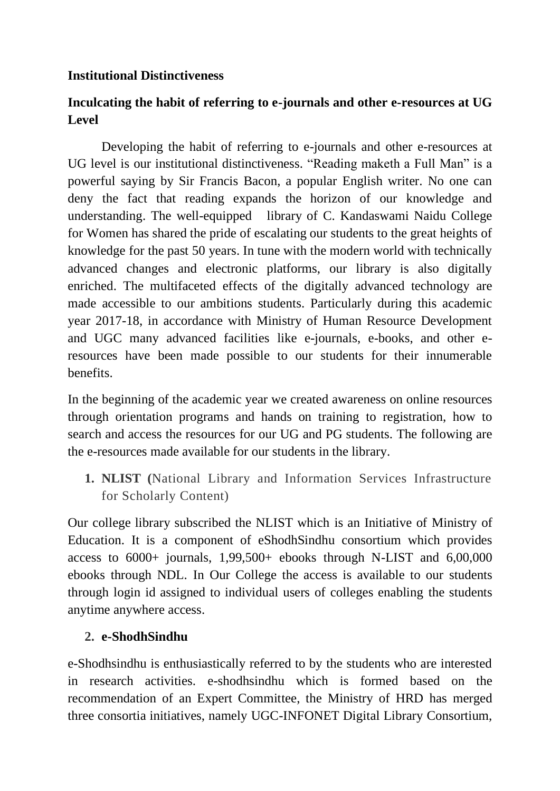#### **Institutional Distinctiveness**

# **Inculcating the habit of referring to e-journals and other e-resources at UG Level**

Developing the habit of referring to e-journals and other e-resources at UG level is our institutional distinctiveness. "Reading maketh a Full Man" is a powerful saying by Sir Francis Bacon, a popular English writer. No one can deny the fact that reading expands the horizon of our knowledge and understanding. The well-equipped library of C. Kandaswami Naidu College for Women has shared the pride of escalating our students to the great heights of knowledge for the past 50 years. In tune with the modern world with technically advanced changes and electronic platforms, our library is also digitally enriched. The multifaceted effects of the digitally advanced technology are made accessible to our ambitions students. Particularly during this academic year 2017-18, in accordance with Ministry of Human Resource Development and UGC many advanced facilities like e-journals, e-books, and other eresources have been made possible to our students for their innumerable benefits.

In the beginning of the academic year we created awareness on online resources through orientation programs and hands on training to registration, how to search and access the resources for our UG and PG students. The following are the e-resources made available for our students in the library.

**1. NLIST (**National Library and Information Services Infrastructure for Scholarly Content)

Our college library subscribed the NLIST which is an Initiative of Ministry of Education. It is a component of eShodhSindhu consortium which provides access to  $6000+$  journals,  $1,99,500+$  ebooks through N-LIST and  $6,00,000$ ebooks through NDL. In Our College the access is available to our students through login id assigned to individual users of colleges enabling the students anytime anywhere access.

## **2. e-ShodhSindhu**

e-Shodhsindhu is enthusiastically referred to by the students who are interested in research activities. e-shodhsindhu which is formed based on the recommendation of an Expert Committee, the Ministry of HRD has merged three consortia initiatives, namely UGC-INFONET Digital Library Consortium,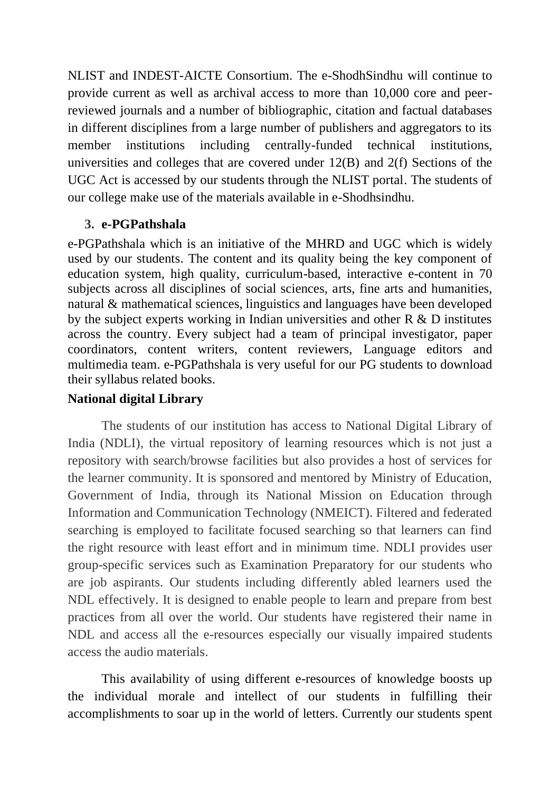NLIST and INDEST-AICTE Consortium. The e-ShodhSindhu will continue to provide current as well as archival access to more than 10,000 core and peerreviewed journals and a number of bibliographic, citation and factual databases in different disciplines from a large number of publishers and aggregators to its member institutions including centrally-funded technical institutions, universities and colleges that are covered under 12(B) and 2(f) Sections of the UGC Act is accessed by our students through the NLIST portal. The students of our college make use of the materials available in e-Shodhsindhu.

## **3. e-PGPathshala**

e-PGPathshala which is an initiative of the MHRD and UGC which is widely used by our students. The content and its quality being the key component of education system, high quality, curriculum-based, interactive e-content in 70 subjects across all disciplines of social sciences, arts, fine arts and humanities, natural & mathematical sciences, linguistics and languages have been developed by the subject experts working in Indian universities and other R & D institutes across the country. Every subject had a team of principal investigator, paper coordinators, content writers, content reviewers, Language editors and multimedia team. e-PGPathshala is very useful for our PG students to download their syllabus related books.

# **National digital Library**

The students of our institution has access to National Digital Library of India (NDLI), the virtual repository of learning resources which is not just a repository with search/browse facilities but also provides a host of services for the learner community. It is sponsored and mentored by Ministry of Education, Government of India, through its National Mission on Education through Information and Communication Technology (NMEICT). Filtered and federated searching is employed to facilitate focused searching so that learners can find the right resource with least effort and in minimum time. NDLI provides user group-specific services such as Examination Preparatory for our students who are job aspirants. Our students including differently abled learners used the NDL effectively. It is designed to enable people to learn and prepare from best practices from all over the world. Our students have registered their name in NDL and access all the e-resources especially our visually impaired students access the audio materials.

This availability of using different e-resources of knowledge boosts up the individual morale and intellect of our students in fulfilling their accomplishments to soar up in the world of letters. Currently our students spent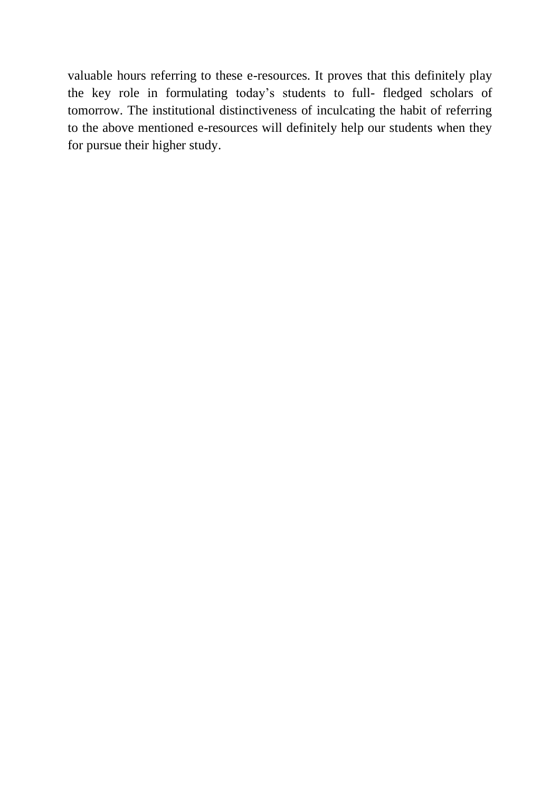valuable hours referring to these e-resources. It proves that this definitely play the key role in formulating today's students to full- fledged scholars of tomorrow. The institutional distinctiveness of inculcating the habit of referring to the above mentioned e-resources will definitely help our students when they for pursue their higher study.